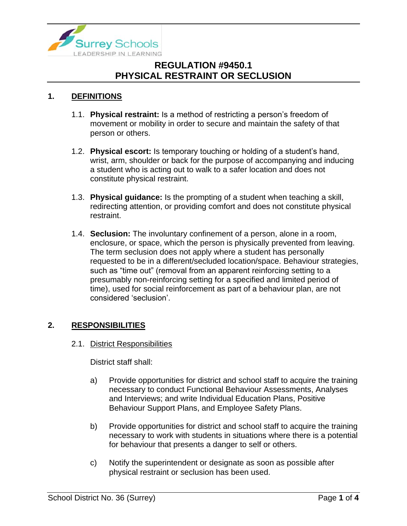

### **1. DEFINITIONS**

- 1.1. **Physical restraint:** Is a method of restricting a person's freedom of movement or mobility in order to secure and maintain the safety of that person or others.
- 1.2. **Physical escort:** Is temporary touching or holding of a student's hand, wrist, arm, shoulder or back for the purpose of accompanying and inducing a student who is acting out to walk to a safer location and does not constitute physical restraint.
- 1.3. **Physical guidance:** Is the prompting of a student when teaching a skill, redirecting attention, or providing comfort and does not constitute physical restraint.
- 1.4. **Seclusion:** The involuntary confinement of a person, alone in a room, enclosure, or space, which the person is physically prevented from leaving. The term seclusion does not apply where a student has personally requested to be in a different/secluded location/space. Behaviour strategies, such as "time out" (removal from an apparent reinforcing setting to a presumably non-reinforcing setting for a specified and limited period of time), used for social reinforcement as part of a behaviour plan, are not considered 'seclusion'.

#### **2. RESPONSIBILITIES**

2.1. District Responsibilities

District staff shall:

- a) Provide opportunities for district and school staff to acquire the training necessary to conduct Functional Behaviour Assessments, Analyses and Interviews; and write Individual Education Plans, Positive Behaviour Support Plans, and Employee Safety Plans.
- b) Provide opportunities for district and school staff to acquire the training necessary to work with students in situations where there is a potential for behaviour that presents a danger to self or others.
- c) Notify the superintendent or designate as soon as possible after physical restraint or seclusion has been used.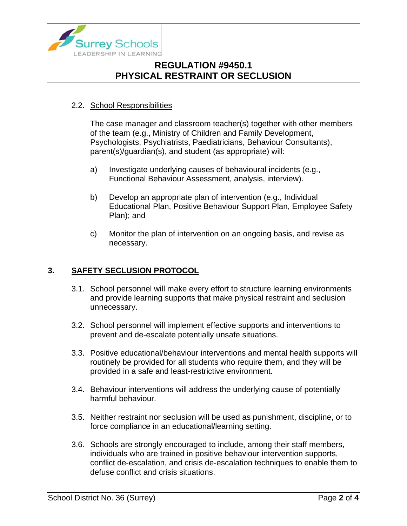

#### 2.2. School Responsibilities

The case manager and classroom teacher(s) together with other members of the team (e.g., Ministry of Children and Family Development, Psychologists, Psychiatrists, Paediatricians, Behaviour Consultants), parent(s)/guardian(s), and student (as appropriate) will:

- a) Investigate underlying causes of behavioural incidents (e.g., Functional Behaviour Assessment, analysis, interview).
- b) Develop an appropriate plan of intervention (e.g., Individual Educational Plan, Positive Behaviour Support Plan, Employee Safety Plan); and
- c) Monitor the plan of intervention on an ongoing basis, and revise as necessary.

### **3. SAFETY SECLUSION PROTOCOL**

- 3.1. School personnel will make every effort to structure learning environments and provide learning supports that make physical restraint and seclusion unnecessary.
- 3.2. School personnel will implement effective supports and interventions to prevent and de-escalate potentially unsafe situations.
- 3.3. Positive educational/behaviour interventions and mental health supports will routinely be provided for all students who require them, and they will be provided in a safe and least-restrictive environment.
- 3.4. Behaviour interventions will address the underlying cause of potentially harmful behaviour.
- 3.5. Neither restraint nor seclusion will be used as punishment, discipline, or to force compliance in an educational/learning setting.
- 3.6. Schools are strongly encouraged to include, among their staff members, individuals who are trained in positive behaviour intervention supports, conflict de-escalation, and crisis de-escalation techniques to enable them to defuse conflict and crisis situations.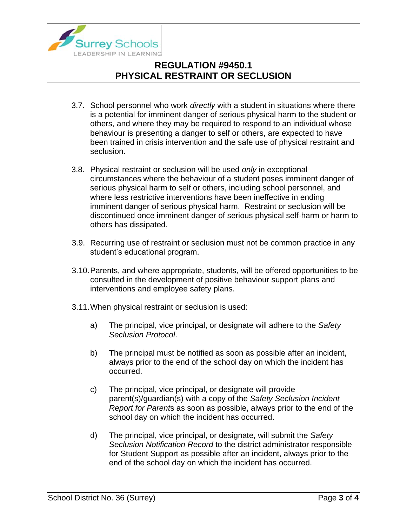

- 3.7. School personnel who work *directly* with a student in situations where there is a potential for imminent danger of serious physical harm to the student or others, and where they may be required to respond to an individual whose behaviour is presenting a danger to self or others, are expected to have been trained in crisis intervention and the safe use of physical restraint and seclusion.
- 3.8. Physical restraint or seclusion will be used *only* in exceptional circumstances where the behaviour of a student poses imminent danger of serious physical harm to self or others, including school personnel, and where less restrictive interventions have been ineffective in ending imminent danger of serious physical harm. Restraint or seclusion will be discontinued once imminent danger of serious physical self-harm or harm to others has dissipated.
- 3.9. Recurring use of restraint or seclusion must not be common practice in any student's educational program.
- 3.10.Parents, and where appropriate, students, will be offered opportunities to be consulted in the development of positive behaviour support plans and interventions and employee safety plans.
- 3.11.When physical restraint or seclusion is used:
	- a) The principal, vice principal, or designate will adhere to the *Safety Seclusion Protocol*.
	- b) The principal must be notified as soon as possible after an incident, always prior to the end of the school day on which the incident has occurred.
	- c) The principal, vice principal, or designate will provide parent(s)/guardian(s) with a copy of the *Safety Seclusion Incident Report for Parent*s as soon as possible, always prior to the end of the school day on which the incident has occurred.
	- d) The principal, vice principal, or designate, will submit the *Safety Seclusion Notification Record* to the district administrator responsible for Student Support as possible after an incident, always prior to the end of the school day on which the incident has occurred.